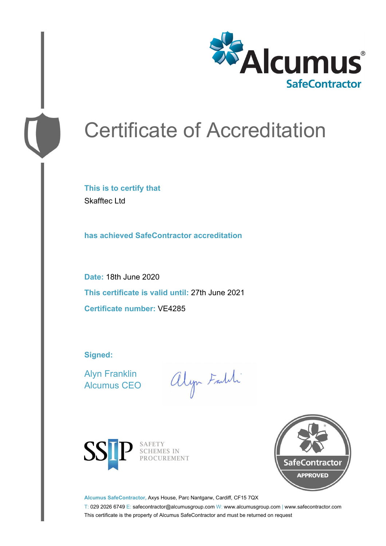

# Certificate of Accreditation

**This is to certify that** Skafftec Ltd

**has achieved SafeContractor accreditation**

**Date:** 18th June 2020 **This certificate is valid until:** 27th June 2021 **Certificate number:** VE4285

**Signed:**

Alyn Franklin Alcumus CEO

alyn Faith



SAFETY SCHEMES IN PROCUREMENT



**Alcumus SafeContractor,** Axys House, Parc Nantgarw, Cardiff, CF15 7QX

T: 029 2026 6749 E: safecontractor@alcumusgroup.com W: www.alcumusgroup.com | www.safecontractor.com This certificate is the property of Alcumus SafeContractor and must be returned on request